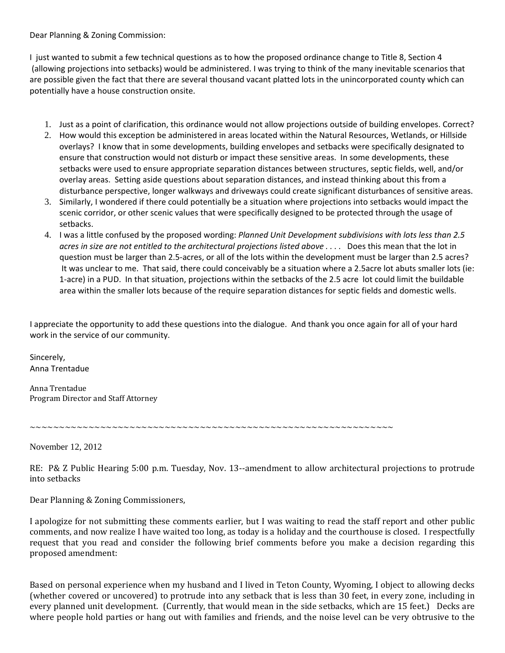Dear Planning & Zoning Commission:

I just wanted to submit a few technical questions as to how the proposed ordinance change to Title 8, Section 4 (allowing projections into setbacks) would be administered. I was trying to think of the many inevitable scenarios that are possible given the fact that there are several thousand vacant platted lots in the unincorporated county which can potentially have a house construction onsite.

- 1. Just as a point of clarification, this ordinance would not allow projections outside of building envelopes. Correct?
- 2. How would this exception be administered in areas located within the Natural Resources, Wetlands, or Hillside overlays? I know that in some developments, building envelopes and setbacks were specifically designated to ensure that construction would not disturb or impact these sensitive areas. In some developments, these setbacks were used to ensure appropriate separation distances between structures, septic fields, well, and/or overlay areas. Setting aside questions about separation distances, and instead thinking about this from a disturbance perspective, longer walkways and driveways could create significant disturbances of sensitive areas.
- 3. Similarly, I wondered if there could potentially be a situation where projections into setbacks would impact the scenic corridor, or other scenic values that were specifically designed to be protected through the usage of setbacks.
- 4. I was a little confused by the proposed wording: *Planned Unit Development subdivisions with lots less than 2.5* acres in size are not entitled to the architectural projections listed above .... Does this mean that the lot in question must be larger than 2.5‐acres, or all of the lots within the development must be larger than 2.5 acres? It was unclear to me. That said, there could conceivably be a situation where a 2.5acre lot abuts smaller lots (ie: 1‐acre) in a PUD. In that situation, projections within the setbacks of the 2.5 acre lot could limit the buildable area within the smaller lots because of the require separation distances for septic fields and domestic wells.

I appreciate the opportunity to add these questions into the dialogue. And thank you once again for all of your hard work in the service of our community.

Sincerely, Anna Trentadue

Anna Trentadue Program Director and Staff Attorney

~~~~~~~~~~~~~~~~~~~~~~~~~~~~~~~~~~~~~~~~~~~~~~~~~~~~~~~~~~~~~~

November 12, 2012

RE: P& Z Public Hearing 5:00 p.m. Tuesday, Nov. 13--amendment to allow architectural projections to protrude into setbacks

Dear Planning & Zoning Commissioners,

I apologize for not submitting these comments earlier, but I was waiting to read the staff report and other public comments, and now realize I have waited too long, as today is a holiday and the courthouse is closed. I respectfully request that you read and consider the following brief comments before you make a decision regarding this roposed amendment: p

Based on personal experience when my husband and I lived in Teton County, Wyoming, I object to allowing decks (whether covered or uncovered) to protrude into any setback that is less than 30 feet, in every zone, including in every planned unit development. (Currently, that would mean in the side setbacks, which are 15 feet.) Decks are where people hold parties or hang out with families and friends, and the noise level can be very obtrusive to the